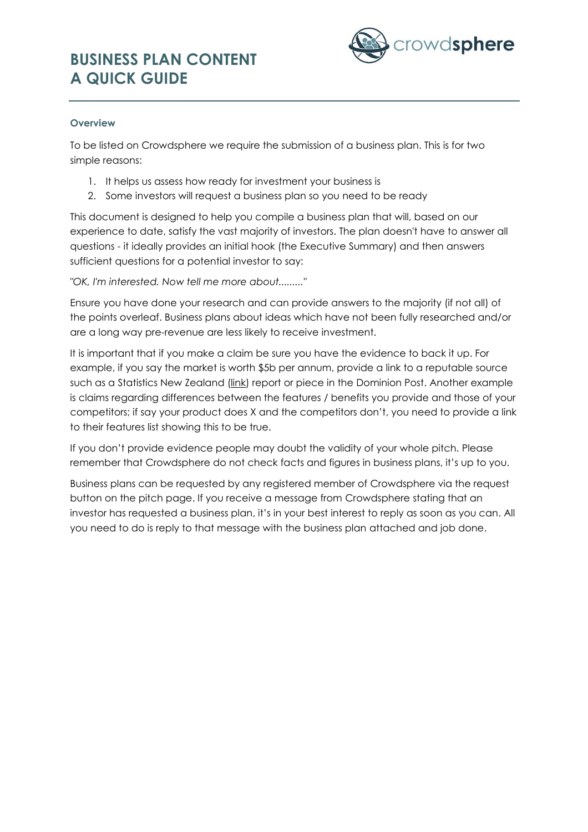# **BUSINESS PLAN CONTENT A QUICK GUIDE**



### **Overview**

To be listed on Crowdsphere we require the submission of a business plan. This is for two simple reasons:

- 1. It helps us assess how ready for investment your business is
- 2. Some investors will request a business plan so you need to be ready

This document is designed to help you compile a business plan that will, based on our experience to date, satisfy the vast majority of investors. The plan doesn't have to answer all questions - it ideally provides an initial hook (the Executive Summary) and then answers sufficient questions for a potential investor to say:

*"OK, I'm interested. Now tell me more about........."*

Ensure you have done your research and can provide answers to the majority (if not all) of the points overleaf. Business plans about ideas which have not been fully researched and/or are a long way pre-revenue are less likely to receive investment.

It is important that if you make a claim be sure you have the evidence to back it up. For example, if you say the market is worth \$5b per annum, provide a link to a reputable source such as a Statistics New Zealand [\(link\)](http://www.stats.govt.nz/) report or piece in the Dominion Post. Another example is claims regarding differences between the features / benefits you provide and those of your competitors; if say your product does X and the competitors don't, you need to provide a link to their features list showing this to be true.

If you don't provide evidence people may doubt the validity of your whole pitch. Please remember that Crowdsphere do not check facts and figures in business plans, it's up to you.

Business plans can be requested by any registered member of Crowdsphere via the request button on the pitch page. If you receive a message from Crowdsphere stating that an investor has requested a business plan, it's in your best interest to reply as soon as you can. All you need to do is reply to that message with the business plan attached and job done.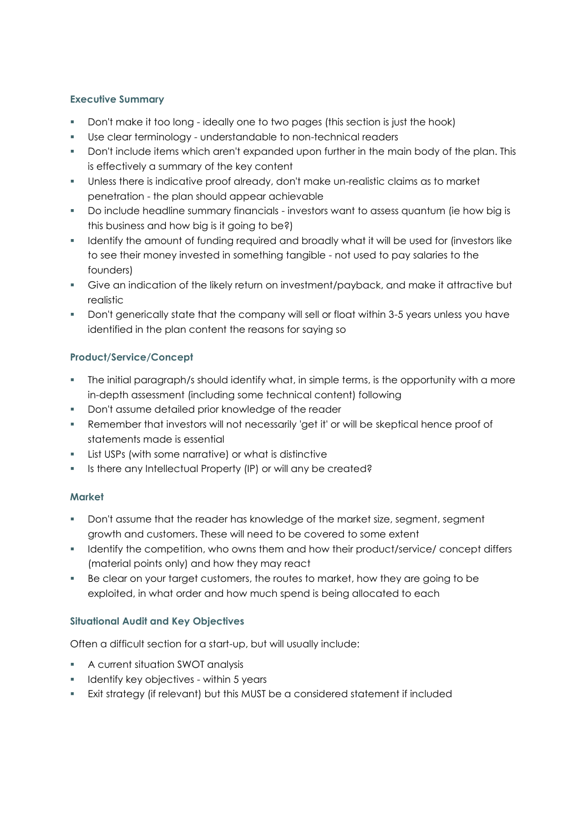### **Executive Summary**

- Don't make it too long ideally one to two pages (this section is just the hook)
- Use clear terminology understandable to non-technical readers
- **Don't include items which aren't expanded upon further in the main body of the plan. This** is effectively a summary of the key content
- Unless there is indicative proof already, don't make un-realistic claims as to market penetration - the plan should appear achievable
- Do include headline summary financials investors want to assess quantum (ie how big is this business and how big is it going to be?)
- **IDENT** Identify the amount of funding required and broadly what it will be used for (investors like to see their money invested in something tangible - not used to pay salaries to the founders)
- Give an indication of the likely return on investment/payback, and make it attractive but realistic
- Don't generically state that the company will sell or float within 3-5 years unless you have identified in the plan content the reasons for saying so

# **Product/Service/Concept**

- The initial paragraph/s should identify what, in simple terms, is the opportunity with a more in-depth assessment (including some technical content) following
- **Don't assume detailed prior knowledge of the reader**
- Remember that investors will not necessarily 'get it' or will be skeptical hence proof of statements made is essential
- List USPs (with some narrative) or what is distinctive
- **IS there any Intellectual Property (IP) or will any be created?**

#### **Market**

- Don't assume that the reader has knowledge of the market size, segment, segment growth and customers. These will need to be covered to some extent
- **IDENTIFY THE COMPETITION, who owns them and how their product/service/ concept differs** (material points only) and how they may react
- Be clear on your target customers, the routes to market, how they are going to be exploited, in what order and how much spend is being allocated to each

#### **Situational Audit and Key Objectives**

Often a difficult section for a start-up, but will usually include:

- A current situation SWOT analysis
- **If the Identify key objectives within 5 years**
- Exit strategy (if relevant) but this MUST be a considered statement if included